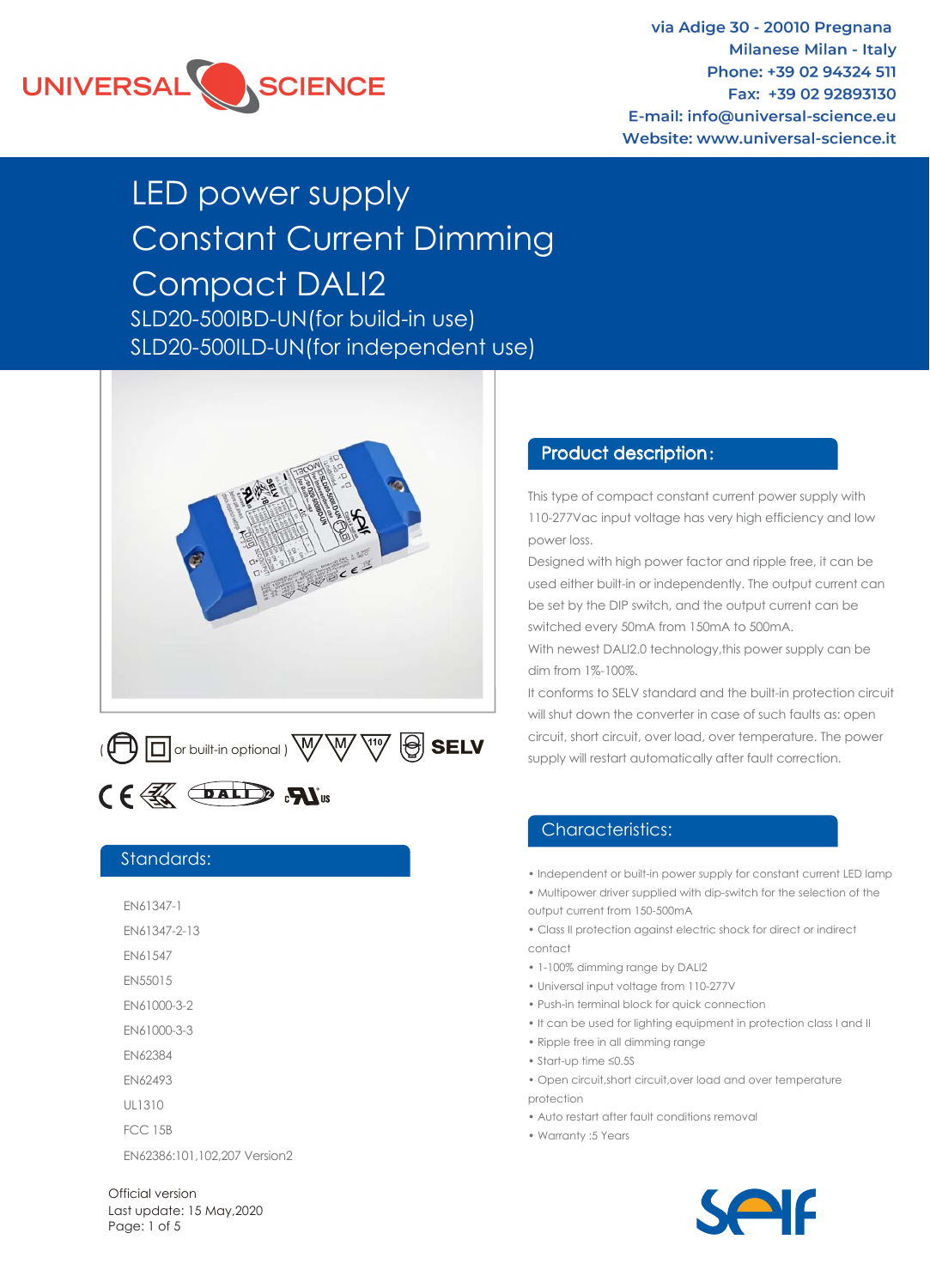

via Adige 30 - 20010 Pregnana **Milanese Milan - Italy** Phone: +39 02 94324 511 Fax: +39 02 92893130 E-mail: info@universal-science.eu Website: www.universal-science.it

# LED power supply Constant Current Dimming Compact DALI2

SLD20-500ILD-UN SLD20-500ILD-UN(for independent use)SLD20-500IBD-UN(for build-in use)





#### Standards:

EN61347-1 EN61347-2-13 EN61547 EN55015 EN61000-3-2 EN61000-3-3 EN62384 EN62493 UL1310 FCC 15B EN62386:101,102,207 Version2

#### Product description:

This type of compact constant current power supply with 110-277Vac input voltage has very high efficiency and low power loss.

Designed with high power factor and ripple free, it can be used either built-in or independently. The output current can be set by the DIP switch, and the output current can be switched every 50mA from 150mA to 500mA.

With newest DALI2.0 technology, this power supply can be dim from 1%-100%.

It conforms to SELV standard and the built-in protection circuit will shut down the converter in case of such faults as: open circuit, short circuit, over load, over temperature. The power

#### Characteristics:

• Independent or built-in power supply for constant current LED lamp

• Multipower driver supplied with dip-switch for the selection of the output current from 150-500mA

• Class II protection against electric shock for direct or indirect contact

- 1-100% dimming range by DALI2
- Universal input voltage from 110-277V
- Push-in terminal block for quick connection
- It can be used for lighting equipment in protection class I and II
- Ripple free in all dimming range
- Start-up time ≤0.5S
- Open circuit,short circuit,over load and over temperature protection
- Auto restart after fault conditions removal
- Warranty :5 Years

Official version Last update: 15 May,2020 Page: 1 of 5

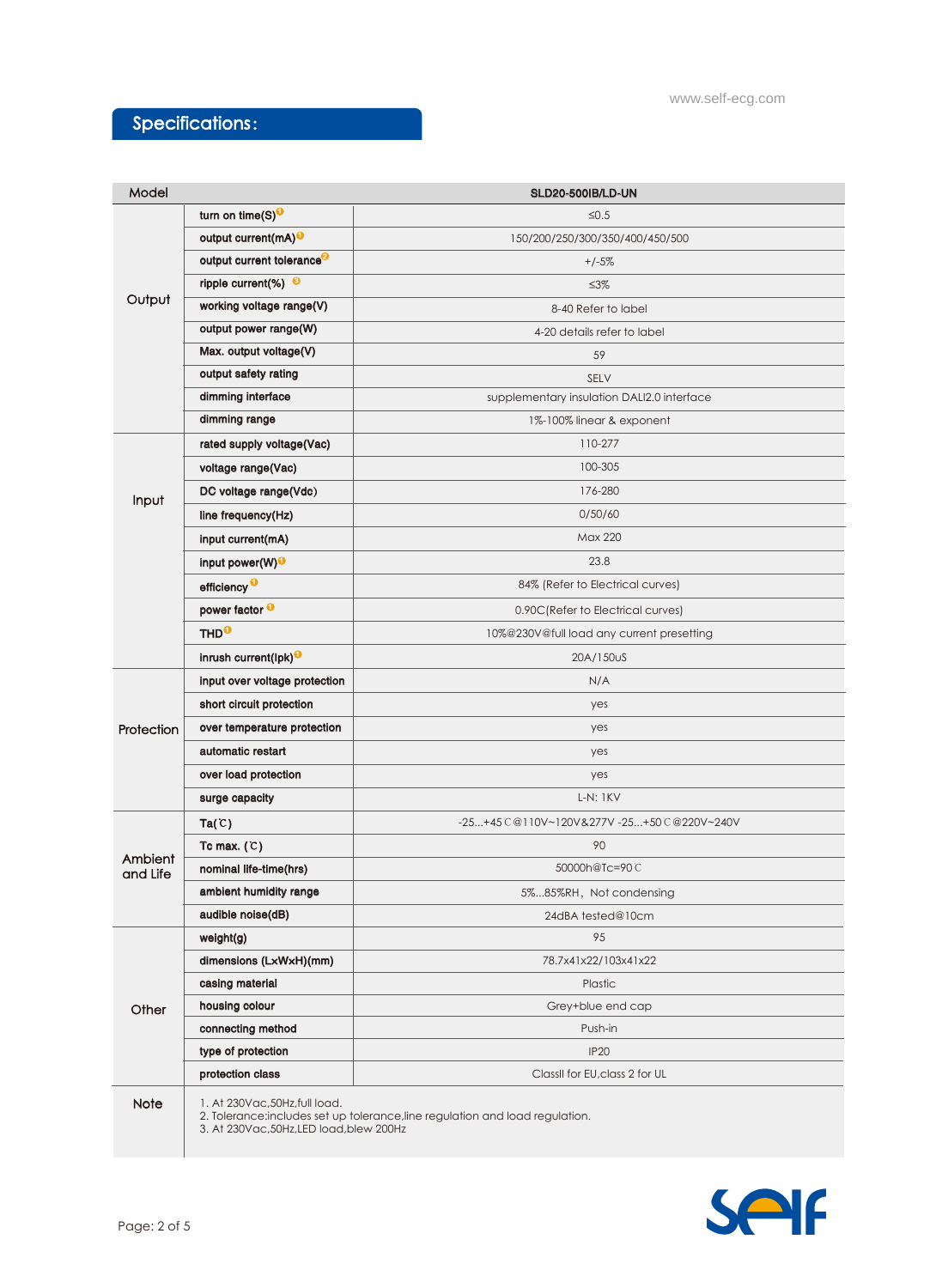# Specifications:

| Model               |                                       | SLD20-500IB/LD-UN                            |  |  |  |  |
|---------------------|---------------------------------------|----------------------------------------------|--|--|--|--|
|                     | turn on time(S) <sup>0</sup>          | $≤0.5$                                       |  |  |  |  |
|                     | output current(mA) <sup>O</sup>       | 150/200/250/300/350/400/450/500              |  |  |  |  |
|                     | output current tolerance <sup>9</sup> | $+/-5%$                                      |  |  |  |  |
| Output              | ripple current(%) $\Theta$            | $\leq 3\%$                                   |  |  |  |  |
|                     | working voltage range(V)              | 8-40 Refer to label                          |  |  |  |  |
|                     | output power range(W)                 | 4-20 details refer to label                  |  |  |  |  |
|                     | Max. output voltage(V)                | 59                                           |  |  |  |  |
|                     | output safety rating                  | SELV                                         |  |  |  |  |
|                     | dimming interface                     | supplementary insulation DALI2.0 interface   |  |  |  |  |
|                     | dimming range                         | 1%-100% linear & exponent                    |  |  |  |  |
|                     | rated supply voltage(Vac)             | 110-277                                      |  |  |  |  |
|                     | voltage range(Vac)                    | 100-305                                      |  |  |  |  |
| Input               | DC voltage range(Vdc)                 | 176-280                                      |  |  |  |  |
|                     | line frequency(Hz)                    | 0/50/60                                      |  |  |  |  |
|                     | input current(mA)                     | Max 220                                      |  |  |  |  |
|                     | input power(W) <sup>O</sup>           | 23.8                                         |  |  |  |  |
|                     | efficiency <sup>O</sup>               | 84% (Refer to Electrical curves)             |  |  |  |  |
|                     | power factor <sup>O</sup>             | 0.90C (Refer to Electrical curves)           |  |  |  |  |
|                     | THD <sup>O</sup>                      | 10%@230V@full load any current presetting    |  |  |  |  |
|                     | inrush current(lpk) <sup>O</sup>      | 20A/150uS                                    |  |  |  |  |
|                     | input over voltage protection         | N/A                                          |  |  |  |  |
|                     | short circuit protection              | yes                                          |  |  |  |  |
| Protection          | over temperature protection           | yes                                          |  |  |  |  |
|                     | automatic restart                     | yes                                          |  |  |  |  |
|                     | over load protection                  | yes                                          |  |  |  |  |
|                     | surge capacity                        | <b>L-N: 1KV</b>                              |  |  |  |  |
|                     | Ta(C)                                 | -25+45 C @110V~120V&277V -25+50 C @220V~240V |  |  |  |  |
|                     | Tc max. $(C)$                         | 90                                           |  |  |  |  |
| Ambient<br>and Life | nominal life-time(hrs)                | 50000h@Tc=90C                                |  |  |  |  |
|                     | ambient humidity range                | 5%85%RH, Not condensing                      |  |  |  |  |
|                     | audible noise(dB)                     | 24dBA tested@10cm                            |  |  |  |  |
|                     | weight(g)                             | 95                                           |  |  |  |  |
|                     | dimensions (LxWxH)(mm)                | 78.7x41x22/103x41x22                         |  |  |  |  |
| Other               | casing material                       | Plastic                                      |  |  |  |  |
|                     | housing colour                        | Grey+blue end cap                            |  |  |  |  |
|                     | connecting method                     | Push-in                                      |  |  |  |  |
|                     | type of protection                    | <b>IP20</b>                                  |  |  |  |  |
|                     | protection class                      | ClassII for EU, class 2 for UL               |  |  |  |  |
| Note                | 1. At 230Vac, 50Hz, full load.        |                                              |  |  |  |  |

2. Tolerance:includes set up tolerance,line regulation and load regulation.

3. At 230Vac,50Hz,LED load,blew 200Hz

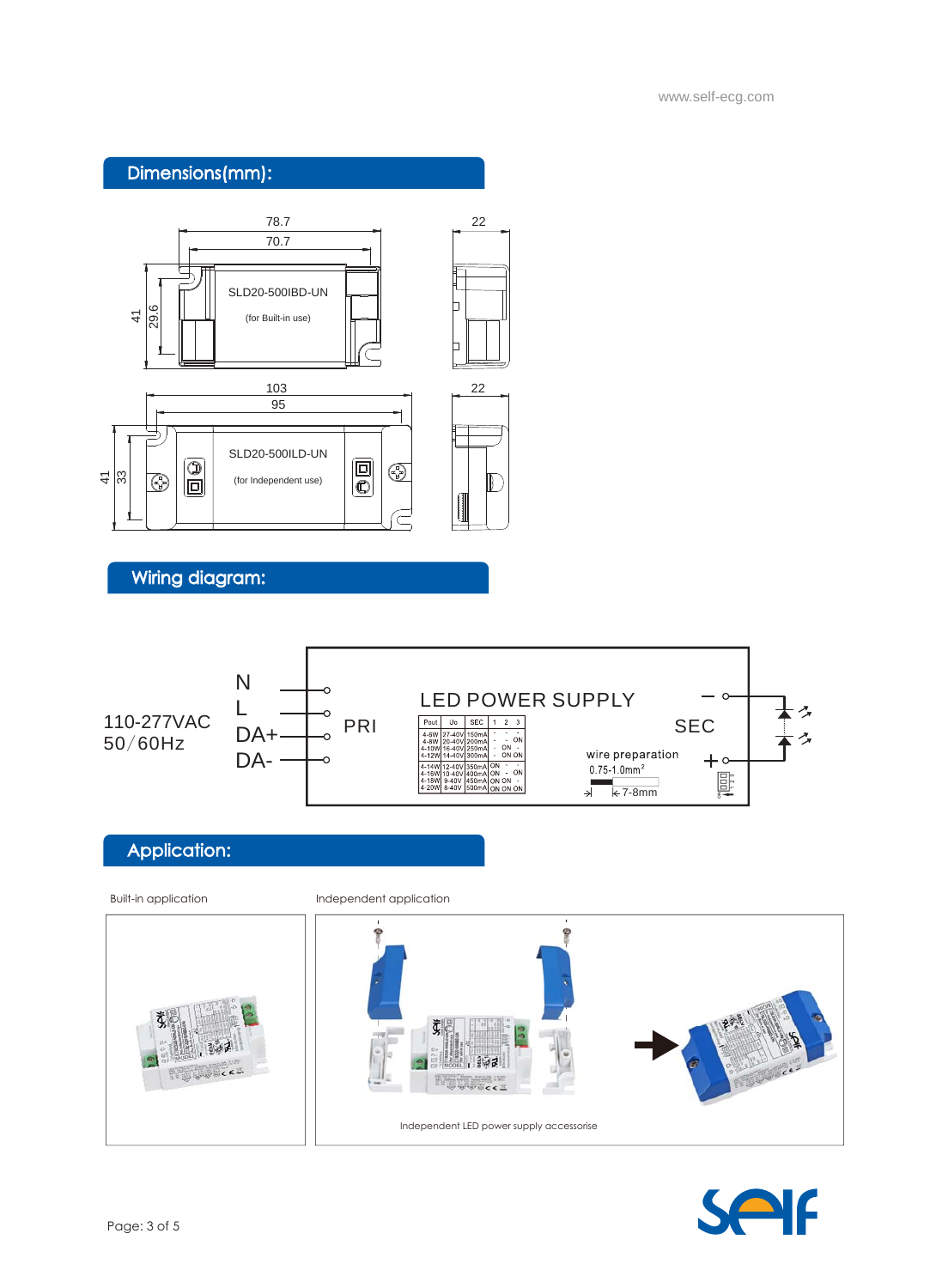www.self-ecg.com

# Dimensions(mm):



# Wiring diagram:



# Application:

**ANTICE** 

Built-in application **Independent application** 



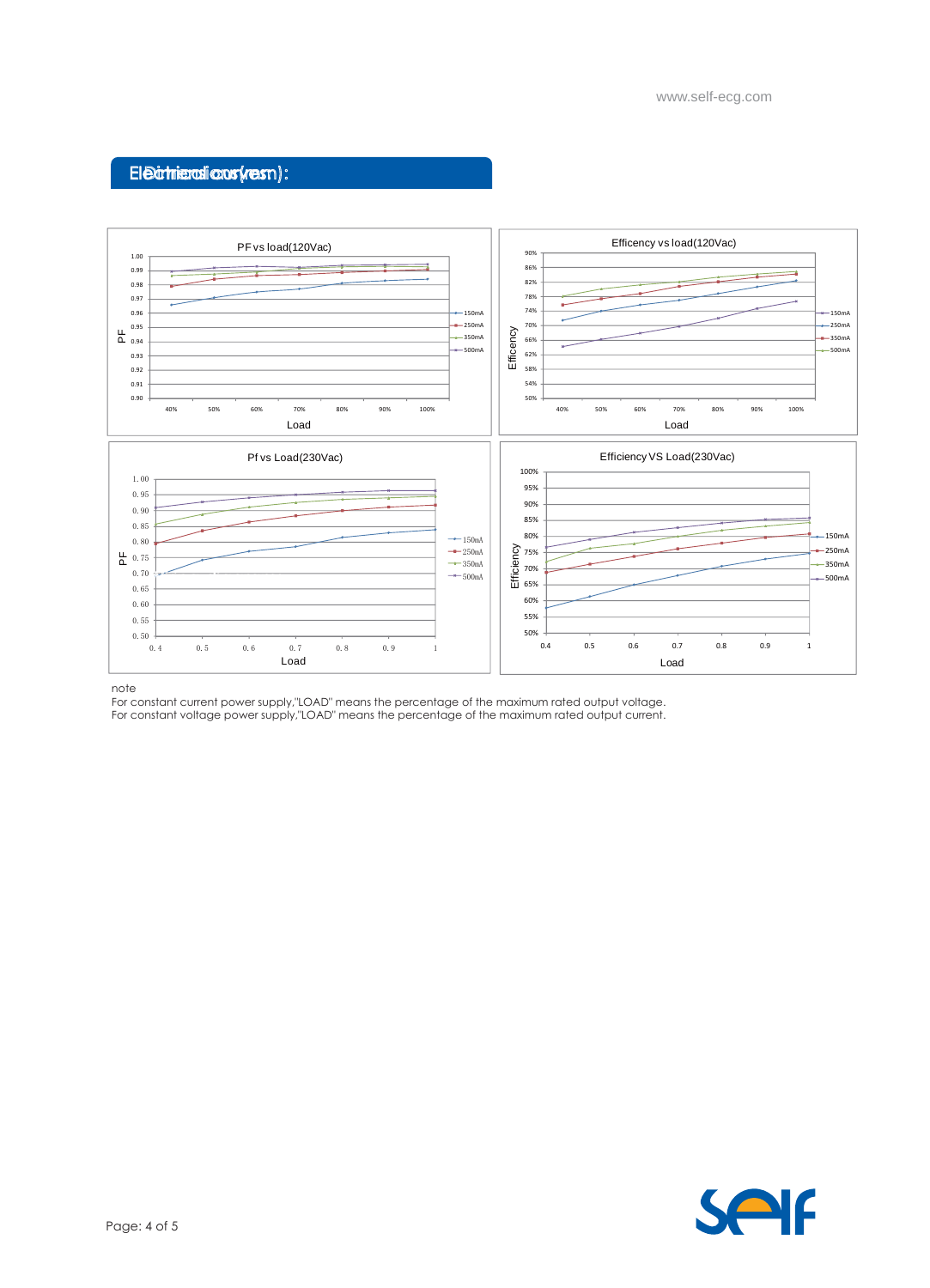www.self-ecg.com

#### Eleathieradionus (resn):



#### note

For constant current power supply,"LOAD" means the percentage of the maximum rated output voltage. For constant voltage power supply,"LOAD" means the percentage of the maximum rated output current.